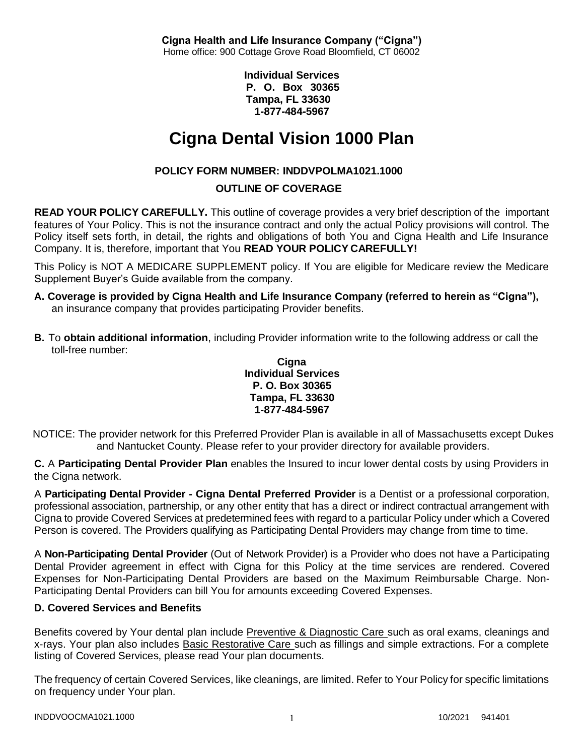**Cigna Health and Life Insurance Company ("Cigna")** Home office: 900 Cottage Grove Road Bloomfield, CT 06002

> **Individual Services P. O. Box 30365 Tampa, FL 33630 1-877-484-5967**

# **Cigna Dental Vision 1000 Plan**

# **POLICY FORM NUMBER: INDDVPOLMA1021.1000**

# **OUTLINE OF COVERAGE**

**READ YOUR POLICY CAREFULLY.** This outline of coverage provides a very brief description of the important features of Your Policy. This is not the insurance contract and only the actual Policy provisions will control. The Policy itself sets forth, in detail, the rights and obligations of both You and Cigna Health and Life Insurance Company. It is, therefore, important that You **READ YOUR POLICY CAREFULLY!**

This Policy is NOT A MEDICARE SUPPLEMENT policy. If You are eligible for Medicare review the Medicare Supplement Buyer's Guide available from the company.

- **A. Coverage is provided by Cigna Health and Life Insurance Company (referred to herein as "Cigna"),** an insurance company that provides participating Provider benefits.
- **B.** To **obtain additional information**, including Provider information write to the following address or call the toll-free number:

#### **Cigna Individual Services P. O. Box 30365 Tampa, FL 33630 1-877-484-5967**

NOTICE: The provider network for this Preferred Provider Plan is available in all of Massachusetts except Dukes and Nantucket County. Please refer to your provider directory for available providers.

**C.** A **Participating Dental Provider Plan** enables the Insured to incur lower dental costs by using Providers in the Cigna network.

A **Participating Dental Provider - Cigna Dental Preferred Provider** is a Dentist or a professional corporation, professional association, partnership, or any other entity that has a direct or indirect contractual arrangement with Cigna to provide Covered Services at predetermined fees with regard to a particular Policy under which a Covered Person is covered. The Providers qualifying as Participating Dental Providers may change from time to time.

A **Non-Participating Dental Provider** (Out of Network Provider) is a Provider who does not have a Participating Dental Provider agreement in effect with Cigna for this Policy at the time services are rendered. Covered Expenses for Non-Participating Dental Providers are based on the Maximum Reimbursable Charge. Non-Participating Dental Providers can bill You for amounts exceeding Covered Expenses.

# **D. Covered Services and Benefits**

Benefits covered by Your dental plan include Preventive & Diagnostic Care such as oral exams, cleanings and x-rays. Your plan also includes Basic Restorative Care such as fillings and simple extractions. For a complete listing of Covered Services, please read Your plan documents.

The frequency of certain Covered Services, like cleanings, are limited. Refer to Your Policy for specific limitations on frequency under Your plan.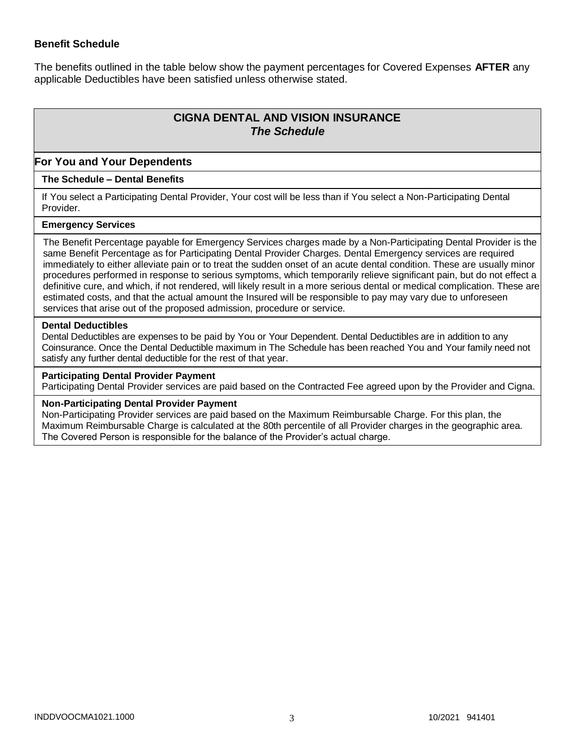### **Benefit Schedule**

The benefits outlined in the table below show the payment percentages for Covered Expenses **AFTER** any applicable Deductibles have been satisfied unless otherwise stated.

# **CIGNA DENTAL AND VISION INSURANCE** *The Schedule*

## **For You and Your Dependents**

#### **The Schedule – Dental Benefits**

If You select a Participating Dental Provider, Your cost will be less than if You select a Non-Participating Dental Provider.

#### **Emergency Services**

The Benefit Percentage payable for Emergency Services charges made by a Non-Participating Dental Provider is the same Benefit Percentage as for Participating Dental Provider Charges. Dental Emergency services are required immediately to either alleviate pain or to treat the sudden onset of an acute dental condition. These are usually minor procedures performed in response to serious symptoms, which temporarily relieve significant pain, but do not effect a definitive cure, and which, if not rendered, will likely result in a more serious dental or medical complication. These are estimated costs, and that the actual amount the Insured will be responsible to pay may vary due to unforeseen services that arise out of the proposed admission, procedure or service.

#### **Dental Deductibles**

Dental Deductibles are expenses to be paid by You or Your Dependent. Dental Deductibles are in addition to any Coinsurance. Once the Dental Deductible maximum in The Schedule has been reached You and Your family need not satisfy any further dental deductible for the rest of that year.

#### **Participating Dental Provider Payment**

Participating Dental Provider services are paid based on the Contracted Fee agreed upon by the Provider and Cigna.

#### **Non-Participating Dental Provider Payment**

Non-Participating Provider services are paid based on the Maximum Reimbursable Charge. For this plan, the Maximum Reimbursable Charge is calculated at the 80th percentile of all Provider charges in the geographic area. The Covered Person is responsible for the balance of the Provider's actual charge.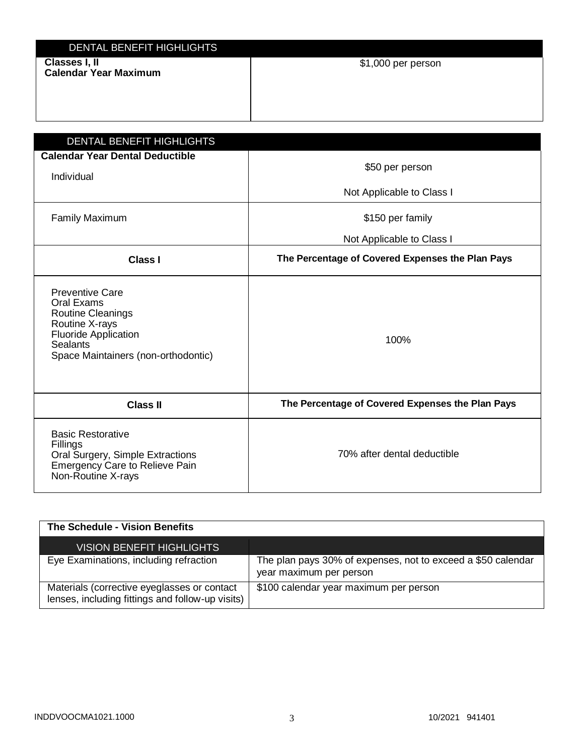| DENTAL BENEFIT HIGHLIGHTS                     |                    |
|-----------------------------------------------|--------------------|
| Classes I, II<br><b>Calendar Year Maximum</b> | \$1,000 per person |
|                                               |                    |

| DENTAL BENEFIT HIGHLIGHTS                                                                                                                                     |                                                  |
|---------------------------------------------------------------------------------------------------------------------------------------------------------------|--------------------------------------------------|
| <b>Calendar Year Dental Deductible</b><br>Individual                                                                                                          | \$50 per person                                  |
|                                                                                                                                                               | Not Applicable to Class I                        |
| <b>Family Maximum</b>                                                                                                                                         | \$150 per family                                 |
|                                                                                                                                                               | Not Applicable to Class I                        |
| <b>Class I</b>                                                                                                                                                | The Percentage of Covered Expenses the Plan Pays |
| <b>Preventive Care</b><br>Oral Exams<br>Routine Cleanings<br>Routine X-rays<br><b>Fluoride Application</b><br>Sealants<br>Space Maintainers (non-orthodontic) | 100%                                             |
| <b>Class II</b>                                                                                                                                               | The Percentage of Covered Expenses the Plan Pays |
| <b>Basic Restorative</b><br>Fillings<br>Oral Surgery, Simple Extractions<br><b>Emergency Care to Relieve Pain</b><br>Non-Routine X-rays                       | 70% after dental deductible                      |

| The Schedule - Vision Benefits                                                                  |                                                                                         |
|-------------------------------------------------------------------------------------------------|-----------------------------------------------------------------------------------------|
| <b>VISION BENEFIT HIGHLIGHTS</b>                                                                |                                                                                         |
| Eye Examinations, including refraction                                                          | The plan pays 30% of expenses, not to exceed a \$50 calendar<br>year maximum per person |
| Materials (corrective eyeglasses or contact<br>lenses, including fittings and follow-up visits) | \$100 calendar year maximum per person                                                  |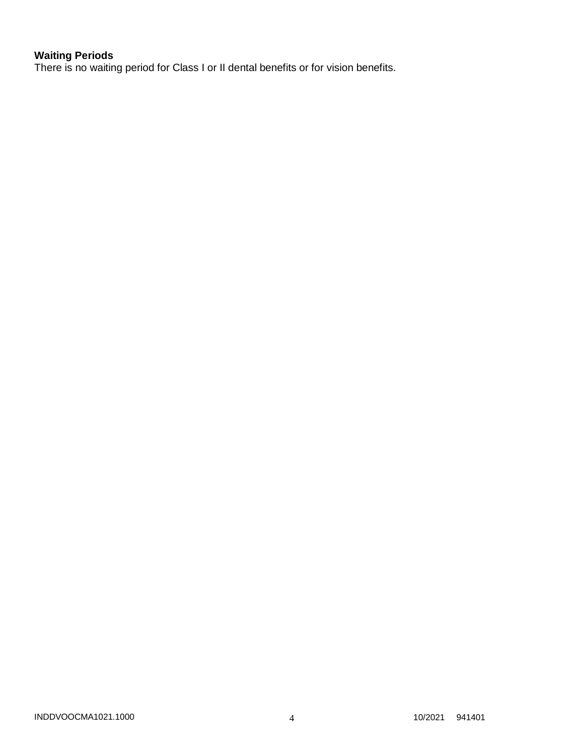# **Waiting Periods**

There is no waiting period for Class I or II dental benefits or for vision benefits.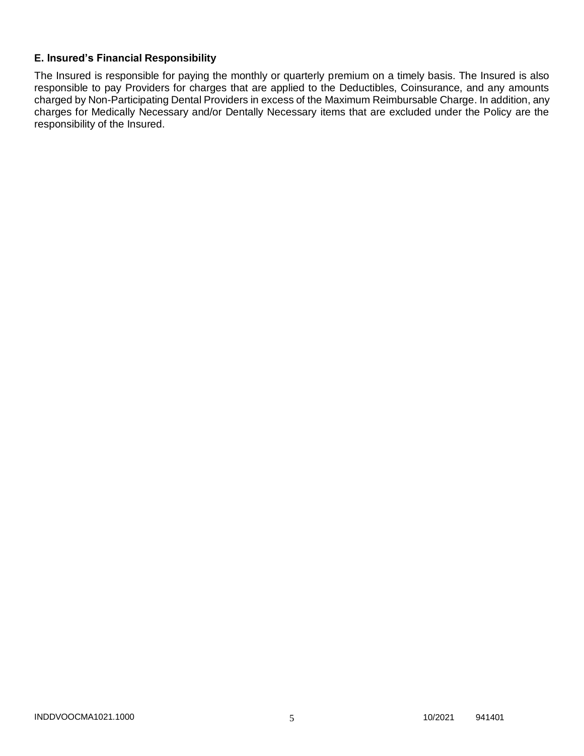## **E. Insured's Financial Responsibility**

The Insured is responsible for paying the monthly or quarterly premium on a timely basis. The Insured is also responsible to pay Providers for charges that are applied to the Deductibles, Coinsurance, and any amounts charged by Non-Participating Dental Providers in excess of the Maximum Reimbursable Charge. In addition, any charges for Medically Necessary and/or Dentally Necessary items that are excluded under the Policy are the responsibility of the Insured.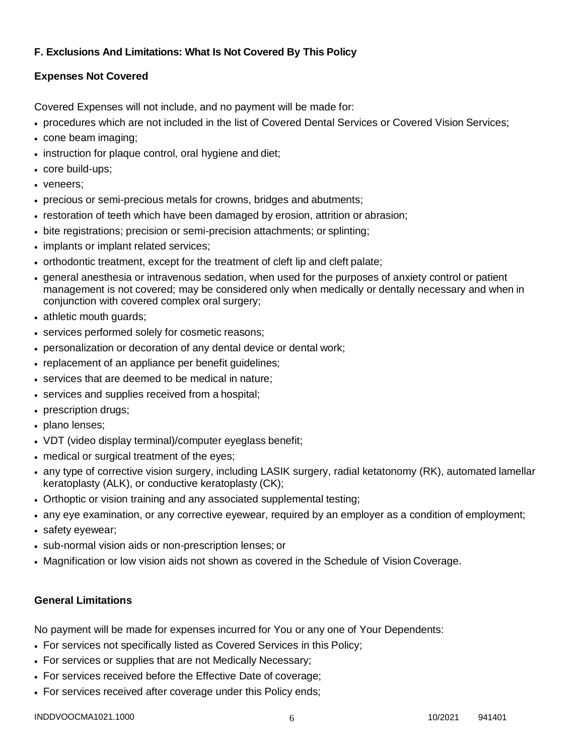# **F. Exclusions And Limitations: What Is Not Covered By This Policy**

# **Expenses Not Covered**

Covered Expenses will not include, and no payment will be made for:

- procedures which are not included in the list of Covered Dental Services or Covered Vision Services;
- cone beam imaging;
- instruction for plaque control, oral hygiene and diet;
- core build-ups;
- veneers:
- precious or semi-precious metals for crowns, bridges and abutments;
- restoration of teeth which have been damaged by erosion, attrition or abrasion;
- bite registrations; precision or semi-precision attachments; or splinting;
- implants or implant related services;
- orthodontic treatment, except for the treatment of cleft lip and cleft palate;
- general anesthesia or intravenous sedation, when used for the purposes of anxiety control or patient management is not covered; may be considered only when medically or dentally necessary and when in conjunction with covered complex oral surgery;
- athletic mouth guards;
- services performed solely for cosmetic reasons;
- personalization or decoration of any dental device or dental work;
- replacement of an appliance per benefit quidelines;
- services that are deemed to be medical in nature;
- services and supplies received from a hospital;
- prescription drugs;
- plano lenses;
- VDT (video display terminal)/computer eyeglass benefit;
- medical or surgical treatment of the eyes;
- any type of corrective vision surgery, including LASIK surgery, radial ketatonomy (RK), automated lamellar keratoplasty (ALK), or conductive keratoplasty (CK);
- Orthoptic or vision training and any associated supplemental testing;
- any eye examination, or any corrective eyewear, required by an employer as a condition of employment;
- safety eyewear;
- sub-normal vision aids or non-prescription lenses; or
- Magnification or low vision aids not shown as covered in the Schedule of Vision Coverage.

# **General Limitations**

No payment will be made for expenses incurred for You or any one of Your Dependents:

- For services not specifically listed as Covered Services in this Policy;
- For services or supplies that are not Medically Necessary;
- For services received before the Effective Date of coverage;
- For services received after coverage under this Policy ends;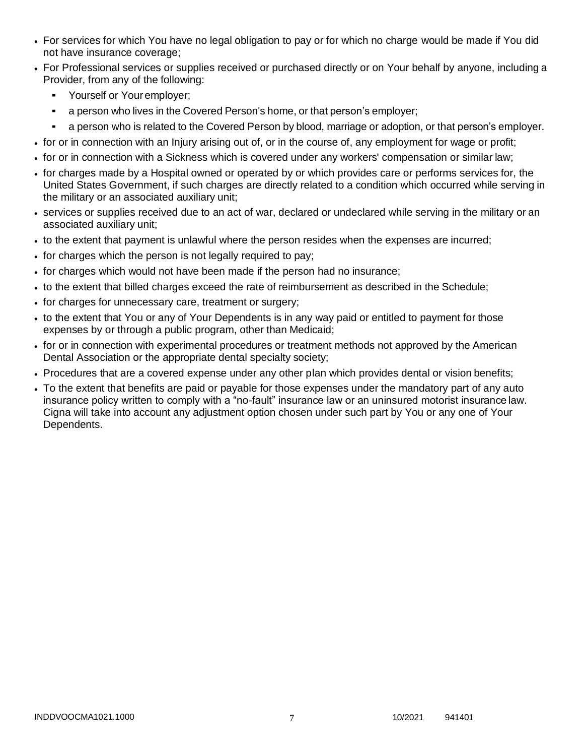- For services for which You have no legal obligation to pay or for which no charge would be made if You did not have insurance coverage;
- For Professional services or supplies received or purchased directly or on Your behalf by anyone, including a Provider, from any of the following:
	- Yourself or Your employer;
	- a person who lives in the Covered Person's home, or that person's employer;
	- a person who is related to the Covered Person by blood, marriage or adoption, or that person's employer.
- for or in connection with an Injury arising out of, or in the course of, any employment for wage or profit;
- for or in connection with a Sickness which is covered under any workers' compensation or similar law;
- for charges made by a Hospital owned or operated by or which provides care or performs services for, the United States Government, if such charges are directly related to a condition which occurred while serving in the military or an associated auxiliary unit;
- services or supplies received due to an act of war, declared or undeclared while serving in the military or an associated auxiliary unit;
- to the extent that payment is unlawful where the person resides when the expenses are incurred;
- for charges which the person is not legally required to pay;
- for charges which would not have been made if the person had no insurance;
- to the extent that billed charges exceed the rate of reimbursement as described in the Schedule;
- for charges for unnecessary care, treatment or surgery;
- to the extent that You or any of Your Dependents is in any way paid or entitled to payment for those expenses by or through a public program, other than Medicaid;
- for or in connection with experimental procedures or treatment methods not approved by the American Dental Association or the appropriate dental specialty society;
- Procedures that are a covered expense under any other plan which provides dental or vision benefits;
- To the extent that benefits are paid or payable for those expenses under the mandatory part of any auto insurance policy written to comply with a "no-fault" insurance law or an uninsured motorist insurance law. Cigna will take into account any adjustment option chosen under such part by You or any one of Your Dependents.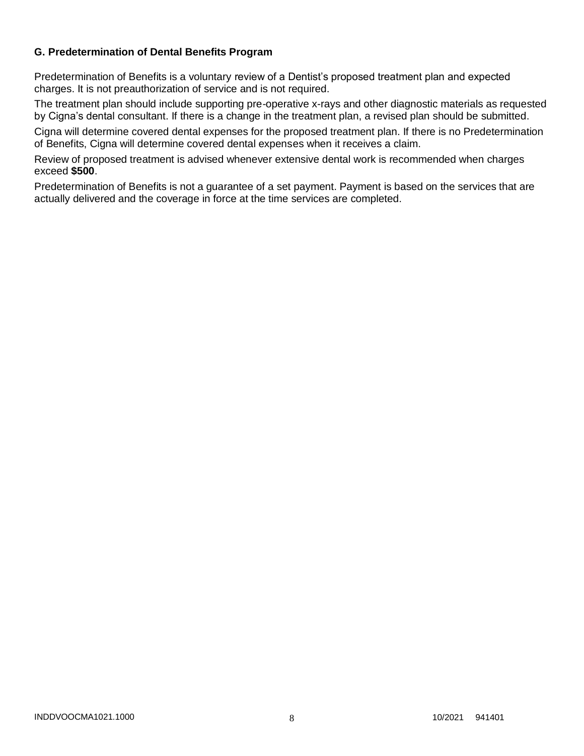### **G. Predetermination of Dental Benefits Program**

Predetermination of Benefits is a voluntary review of a Dentist's proposed treatment plan and expected charges. It is not preauthorization of service and is not required.

The treatment plan should include supporting pre-operative x-rays and other diagnostic materials as requested by Cigna's dental consultant. If there is a change in the treatment plan, a revised plan should be submitted.

Cigna will determine covered dental expenses for the proposed treatment plan. If there is no Predetermination of Benefits, Cigna will determine covered dental expenses when it receives a claim.

Review of proposed treatment is advised whenever extensive dental work is recommended when charges exceed **\$500**.

Predetermination of Benefits is not a guarantee of a set payment. Payment is based on the services that are actually delivered and the coverage in force at the time services are completed.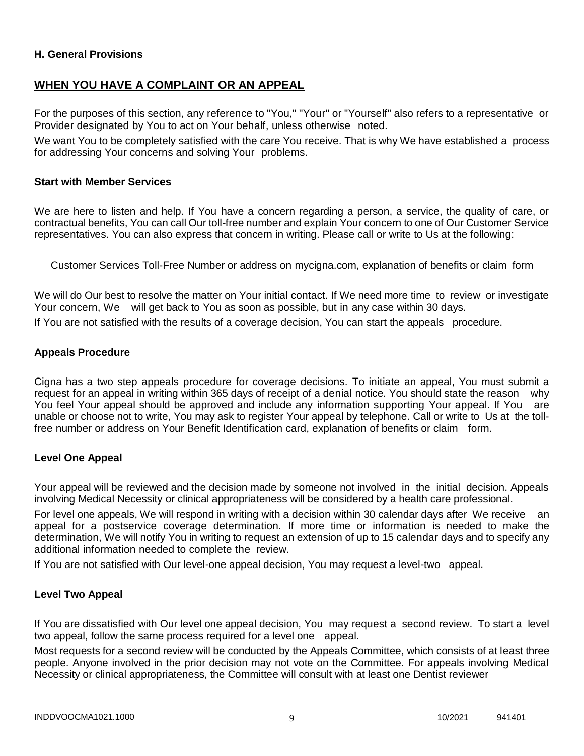### **H. General Provisions**

# **WHEN YOU HAVE A COMPLAINT OR AN APPEAL**

For the purposes of this section, any reference to "You," "Your" or "Yourself" also refers to a representative or Provider designated by You to act on Your behalf, unless otherwise noted.

We want You to be completely satisfied with the care You receive. That is why We have established a process for addressing Your concerns and solving Your problems.

#### **Start with Member Services**

We are here to listen and help. If You have a concern regarding a person, a service, the quality of care, or contractual benefits, You can call Our toll-free number and explain Your concern to one of Our Customer Service representatives. You can also express that concern in writing. Please call or write to Us at the following:

Customer Services Toll-Free Number or address on mycigna.com, explanation of benefits or claim form

We will do Our best to resolve the matter on Your initial contact. If We need more time to review or investigate Your concern, We will get back to You as soon as possible, but in any case within 30 days.

If You are not satisfied with the results of a coverage decision, You can start the appeals procedure.

#### **Appeals Procedure**

Cigna has a two step appeals procedure for coverage decisions. To initiate an appeal, You must submit a request for an appeal in writing within 365 days of receipt of a denial notice. You should state the reason why You feel Your appeal should be approved and include any information supporting Your appeal. If You are unable or choose not to write, You may ask to register Your appeal by telephone. Call or write to Us at the tollfree number or address on Your Benefit Identification card, explanation of benefits or claim form.

#### **Level One Appeal**

Your appeal will be reviewed and the decision made by someone not involved in the initial decision. Appeals involving Medical Necessity or clinical appropriateness will be considered by a health care professional.

For level one appeals, We will respond in writing with a decision within 30 calendar days after We receive an appeal for a postservice coverage determination. If more time or information is needed to make the determination, We will notify You in writing to request an extension of up to 15 calendar days and to specify any additional information needed to complete the review.

If You are not satisfied with Our level-one appeal decision, You may request a level-two appeal.

### **Level Two Appeal**

If You are dissatisfied with Our level one appeal decision, You may request a second review. To start a level two appeal, follow the same process required for a level one appeal.

Most requests for a second review will be conducted by the Appeals Committee, which consists of at least three people. Anyone involved in the prior decision may not vote on the Committee. For appeals involving Medical Necessity or clinical appropriateness, the Committee will consult with at least one Dentist reviewer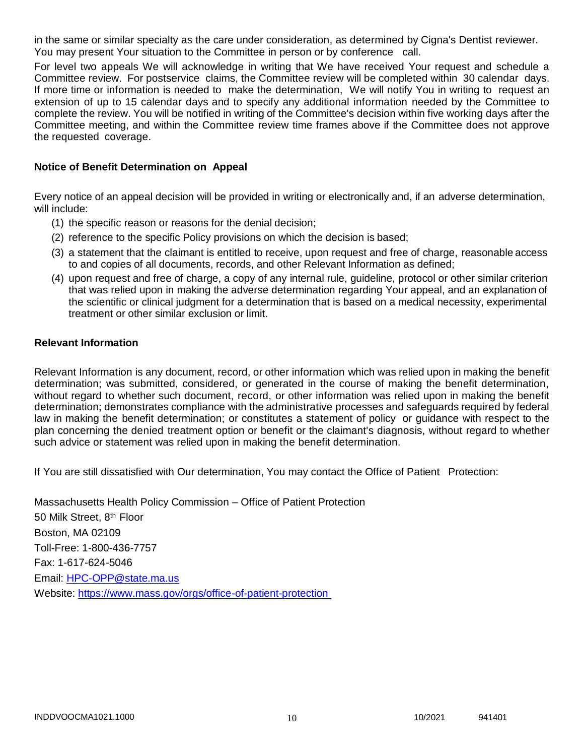in the same or similar specialty as the care under consideration, as determined by Cigna's Dentist reviewer. You may present Your situation to the Committee in person or by conference call.

For level two appeals We will acknowledge in writing that We have received Your request and schedule a Committee review. For postservice claims, the Committee review will be completed within 30 calendar days. If more time or information is needed to make the determination, We will notify You in writing to request an extension of up to 15 calendar days and to specify any additional information needed by the Committee to complete the review. You will be notified in writing of the Committee's decision within five working days after the Committee meeting, and within the Committee review time frames above if the Committee does not approve the requested coverage.

### **Notice of Benefit Determination on Appeal**

Every notice of an appeal decision will be provided in writing or electronically and, if an adverse determination, will include:

- (1) the specific reason or reasons for the denial decision;
- (2) reference to the specific Policy provisions on which the decision is based;
- (3) a statement that the claimant is entitled to receive, upon request and free of charge, reasonable access to and copies of all documents, records, and other Relevant Information as defined;
- (4) upon request and free of charge, a copy of any internal rule, guideline, protocol or other similar criterion that was relied upon in making the adverse determination regarding Your appeal, and an explanation of the scientific or clinical judgment for a determination that is based on a medical necessity, experimental treatment or other similar exclusion or limit.

#### **Relevant Information**

Relevant Information is any document, record, or other information which was relied upon in making the benefit determination; was submitted, considered, or generated in the course of making the benefit determination, without regard to whether such document, record, or other information was relied upon in making the benefit determination; demonstrates compliance with the administrative processes and safeguards required by federal law in making the benefit determination; or constitutes a statement of policy or guidance with respect to the plan concerning the denied treatment option or benefit or the claimant's diagnosis, without regard to whether such advice or statement was relied upon in making the benefit determination.

If You are still dissatisfied with Our determination, You may contact the Office of Patient Protection:

Massachusetts Health Policy Commission – Office of Patient Protection 50 Milk Street, 8<sup>th</sup> Floor Boston, MA 02109 Toll-Free: 1-800-436-7757 Fax: 1-617-624-5046 Email: [HPC-OPP@state.ma.us](mailto:HPC-OPP@state.ma.us) Website:<https://www.mass.gov/orgs/office-of-patient-protection>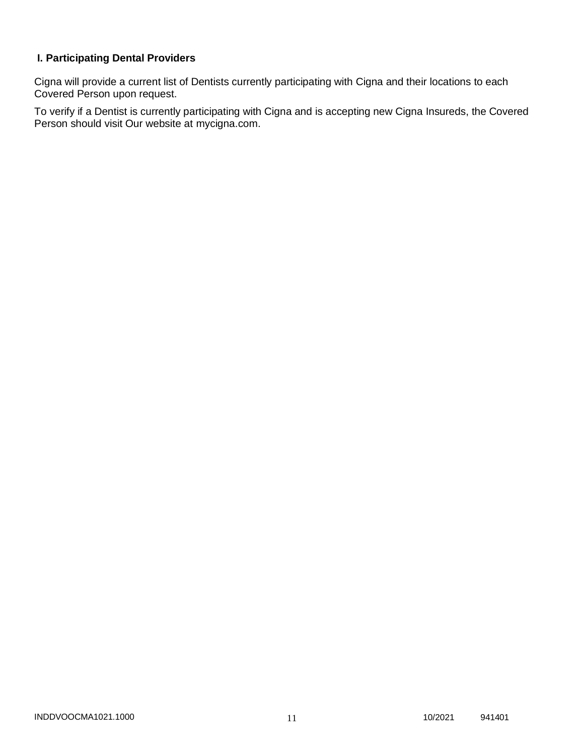# **I. Participating Dental Providers**

Cigna will provide a current list of Dentists currently participating with Cigna and their locations to each Covered Person upon request.

To verify if a Dentist is currently participating with Cigna and is accepting new Cigna Insureds, the Covered Person should visit Our website at mycigna.com.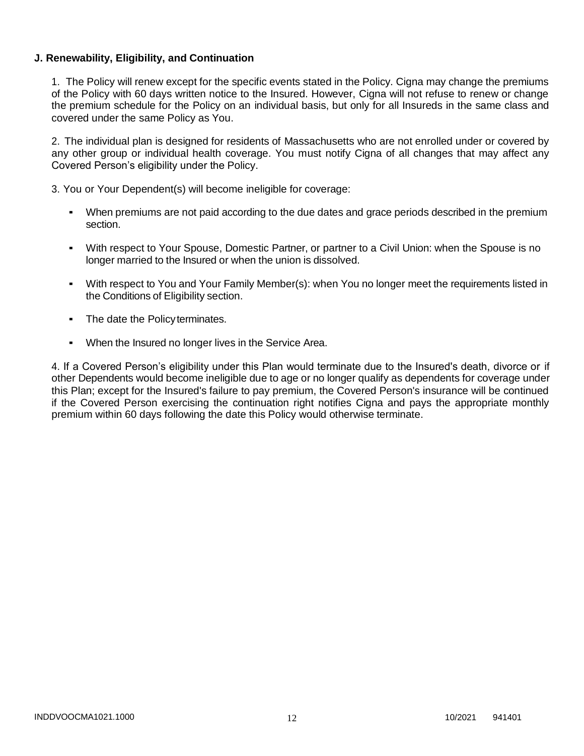### **J. Renewability, Eligibility, and Continuation**

1. The Policy will renew except for the specific events stated in the Policy. Cigna may change the premiums of the Policy with 60 days written notice to the Insured. However, Cigna will not refuse to renew or change the premium schedule for the Policy on an individual basis, but only for all Insureds in the same class and covered under the same Policy as You.

2. The individual plan is designed for residents of Massachusetts who are not enrolled under or covered by any other group or individual health coverage. You must notify Cigna of all changes that may affect any Covered Person's eligibility under the Policy.

3. You or Your Dependent(s) will become ineligible for coverage:

- When premiums are not paid according to the due dates and grace periods described in the premium section.
- With respect to Your Spouse, Domestic Partner, or partner to a Civil Union: when the Spouse is no longer married to the Insured or when the union is dissolved.
- With respect to You and Your Family Member(s): when You no longer meet the requirements listed in the Conditions of Eligibility section.
- The date the Policyterminates.
- When the Insured no longer lives in the Service Area.

4. If a Covered Person's eligibility under this Plan would terminate due to the Insured's death, divorce or if other Dependents would become ineligible due to age or no longer qualify as dependents for coverage under this Plan; except for the Insured's failure to pay premium, the Covered Person's insurance will be continued if the Covered Person exercising the continuation right notifies Cigna and pays the appropriate monthly premium within 60 days following the date this Policy would otherwise terminate.